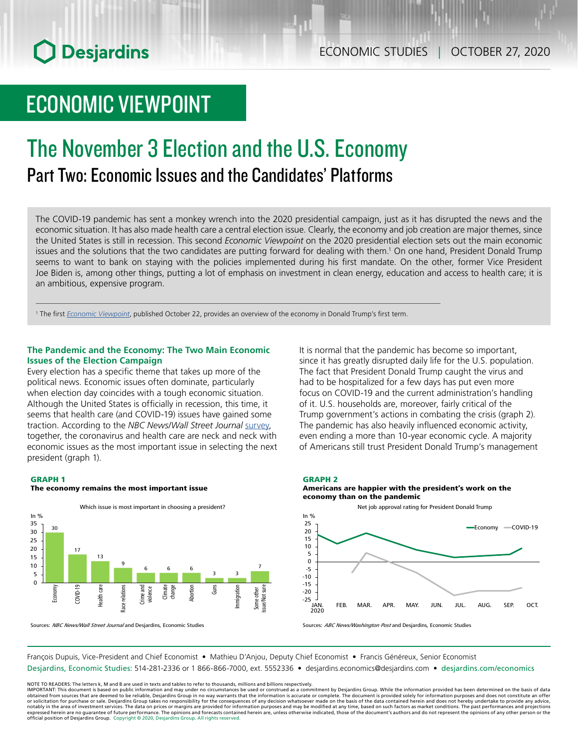## ECONOMIC STUDIES | OCTOBER 27, 2020

# ECONOMIC VIEWPOINT

# The November 3 Election and the U.S. Economy Part Two: Economic Issues and the Candidates' Platforms

The COVID‑19 pandemic has sent a monkey wrench into the 2020 presidential campaign, just as it has disrupted the news and the economic situation. It has also made health care a central election issue. Clearly, the economy and job creation are major themes, since the United States is still in recession. This second *Economic Viewpoint* on the 2020 presidential election sets out the main economic issues and the solutions that the two candidates are putting forward for dealing with them.<sup>1</sup> On one hand, President Donald Trump seems to want to bank on staying with the policies implemented during his first mandate. On the other, former Vice President Joe Biden is, among other things, putting a lot of emphasis on investment in clean energy, education and access to health care; it is an ambitious, expensive program.

1 The first *Economic [Viewpoint](https://www.desjardins.com/ressources/pdf/pv201022-e.pdf)*, published October 22, provides an overview of the economy in Donald Trump's first term.

#### **The Pandemic and the Economy: The Two Main Economic Issues of the Election Campaign**

Every election has a specific theme that takes up more of the political news. Economic issues often dominate, particularly when election day coincides with a tough economic situation. Although the United States is officially in recession, this time, it seems that health care (and COVID-19) issues have gained some traction. According to the *NBC News/Wall Street Journal* [survey,](https://www.documentcloud.org/documents/7231554-2200870Mid-October.html) together, the coronavirus and health care are neck and neck with economic issues as the most important issue in selecting the next president (graph 1).

#### GRAPH 1

#### The economy remains the most important issue



Sources: NBC News/Wall Street Journal and Desjardins, Economic Studies

It is normal that the pandemic has become so important, since it has greatly disrupted daily life for the U.S. population. The fact that President Donald Trump caught the virus and had to be hospitalized for a few days has put even more focus on COVID-19 and the current administration's handling of it. U.S. households are, moreover, fairly critical of the Trump government's actions in combating the crisis (graph 2). The pandemic has also heavily influenced economic activity, even ending a more than 10-year economic cycle. A majority of Americans still trust President Donald Trump's management

#### GRAPH 2





Sources: ABC News/Washington Post and Desjardins, Economic Studies

François Dupuis, Vice-President and Chief Economist • Mathieu D'Anjou, Deputy Chief Economist • Francis Généreux, Senior Economist

Desjardins, Economic Studies: 514-281-2336 or 1 866-866-7000, ext. 5552336 • desjardins.economics@desjardins.com • [desjardins.com/economics](http://desjardins.com/economics)

NOTE TO READERS: The letters k, M and B are used in texts and tables to refer to thousands, millions and billions respectively.<br>IMPORTANT: This document is based on public information and may under no circumstances be used obtained from sources that are deemed to be reliable, Desjardins Group in no way warrants that the information is accurate or complete. The document is provided solely for information purposes and does not constitute an of expressed herein are no guarantee of future performance. The opinions and forecasts contained herein are, unless otherwise indicated, those of the document's authors and do not represent the opinions of any other person or official position of Desjardins Group. Copyright © 2020, Desjardins Group. All rights reserved.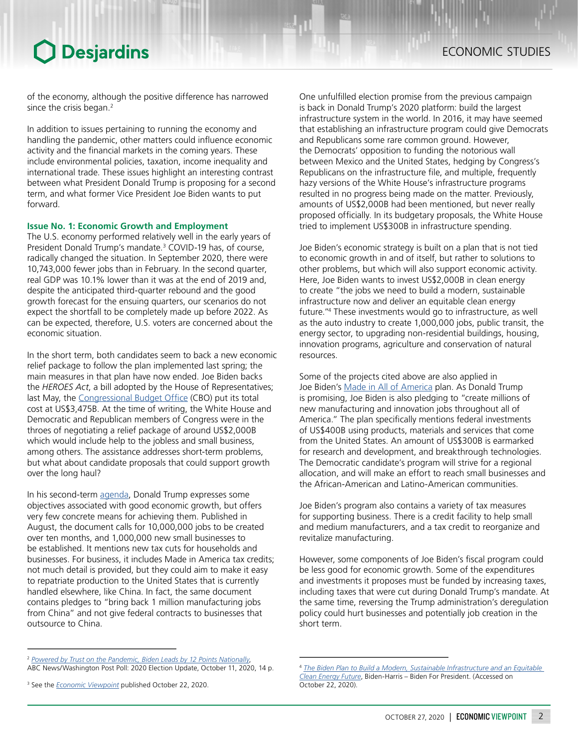of the economy, although the positive difference has narrowed since the crisis began.<sup>2</sup>

In addition to issues pertaining to running the economy and handling the pandemic, other matters could influence economic activity and the financial markets in the coming years. These include environmental policies, taxation, income inequality and international trade. These issues highlight an interesting contrast between what President Donald Trump is proposing for a second term, and what former Vice President Joe Biden wants to put forward.

#### **Issue No. 1: Economic Growth and Employment**

The U.S. economy performed relatively well in the early years of President Donald Trump's mandate.<sup>3</sup> COVID-19 has, of course, radically changed the situation. In September 2020, there were 10,743,000 fewer jobs than in February. In the second quarter, real GDP was 10.1% lower than it was at the end of 2019 and, despite the anticipated third-quarter rebound and the good growth forecast for the ensuing quarters, our scenarios do not expect the shortfall to be completely made up before 2022. As can be expected, therefore, U.S. voters are concerned about the economic situation.

In the short term, both candidates seem to back a new economic relief package to follow the plan implemented last spring; the main measures in that plan have now ended. Joe Biden backs the *HEROES Act*, a bill adopted by the House of Representatives; last May, the [Congressional](https://www.cbo.gov/system/files/2020-06/56383-HR6800.pdf) Budget Office (CBO) put its total cost at US\$3,475B. At the time of writing, the White House and Democratic and Republican members of Congress were in the throes of negotiating a relief package of around US\$2,000B which would include help to the jobless and small business, among others. The assistance addresses short-term problems, but what about candidate proposals that could support growth over the long haul?

In his second-term [agenda](https://www.donaldjtrump.com/media/trump-campaign-announces-president-trumps-2nd-term-agenda-fighting-for-you/), Donald Trump expresses some objectives associated with good economic growth, but offers very few concrete means for achieving them. Published in August, the document calls for 10,000,000 jobs to be created over ten months, and 1,000,000 new small businesses to be established. It mentions new tax cuts for households and businesses. For business, it includes Made in America tax credits; not much detail is provided, but they could aim to make it easy to repatriate production to the United States that is currently handled elsewhere, like China. In fact, the same document contains pledges to "bring back 1 million manufacturing jobs from China" and not give federal contracts to businesses that outsource to China.

One unfulfilled election promise from the previous campaign is back in Donald Trump's 2020 platform: build the largest infrastructure system in the world. In 2016, it may have seemed that establishing an infrastructure program could give Democrats and Republicans some rare common ground. However, the Democrats' opposition to funding the notorious wall between Mexico and the United States, hedging by Congress's Republicans on the infrastructure file, and multiple, frequently hazy versions of the White House's infrastructure programs resulted in no progress being made on the matter. Previously, amounts of US\$2,000B had been mentioned, but never really proposed officially. In its budgetary proposals, the White House tried to implement US\$300B in infrastructure spending.

Joe Biden's economic strategy is built on a plan that is not tied to economic growth in and of itself, but rather to solutions to other problems, but which will also support economic activity. Here, Joe Biden wants to invest US\$2,000B in clean energy to create "the jobs we need to build a modern, sustainable infrastructure now and deliver an equitable clean energy future."4 These investments would go to infrastructure, as well as the auto industry to create 1,000,000 jobs, public transit, the energy sector, to upgrading non-residential buildings, housing, innovation programs, agriculture and conservation of natural resources.

Some of the projects cited above are also applied in Joe Biden's Made in All of [America](https://joebiden.com/made-in-america/) plan. As Donald Trump is promising, Joe Biden is also pledging to "create millions of new manufacturing and innovation jobs throughout all of America." The plan specifically mentions federal investments of US\$400B using products, materials and services that come from the United States. An amount of US\$300B is earmarked for research and development, and breakthrough technologies. The Democratic candidate's program will strive for a regional allocation, and will make an effort to reach small businesses and the African-American and Latino-American communities.

Joe Biden's program also contains a variety of tax measures for supporting business. There is a credit facility to help small and medium manufacturers, and a tax credit to reorganize and revitalize manufacturing.

However, some components of Joe Biden's fiscal program could be less good for economic growth. Some of the expenditures and investments it proposes must be funded by increasing taxes, including taxes that were cut during Donald Trump's mandate. At the same time, reversing the Trump administration's deregulation policy could hurt businesses and potentially job creation in the short term.

<sup>2</sup> *[Powered by Trust on the Pandemic, Biden Leads by 12 Points Nationally](https://www.langerresearch.com/wp-content/uploads/1218a12020ElectionUpdate.pdf)*, ABC News/Washington Post Poll: 2020 Election Update, October 11, 2020, 14 p.

<sup>3</sup> See the *Economic [Viewpoint](https://www.desjardins.com/ressources/pdf/pv201022-e.pdf)* published October 22, 2020.

<sup>4</sup> *[The Biden Plan to Build a Modern, Sustainable Infrastructure and an Equitable](https://joebiden.com/clean-energy/)  [Clean Energy Future](https://joebiden.com/clean-energy/)*, Biden-Harris – Biden For President. (Accessed on October 22, 2020).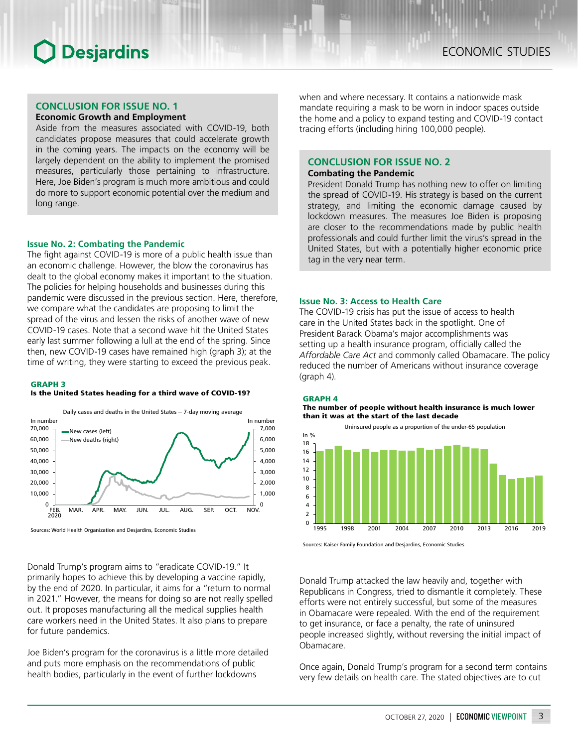## **CONCLUSION FOR ISSUE NO. 1**

## **Economic Growth and Employment**

Aside from the measures associated with COVID-19, both candidates propose measures that could accelerate growth in the coming years. The impacts on the economy will be largely dependent on the ability to implement the promised measures, particularly those pertaining to infrastructure. Here, Joe Biden's program is much more ambitious and could do more to support economic potential over the medium and long range.

#### **Issue No. 2: Combating the Pandemic**

The fight against COVID-19 is more of a public health issue than an economic challenge. However, the blow the coronavirus has dealt to the global economy makes it important to the situation. The policies for helping households and businesses during this pandemic were discussed in the previous section. Here, therefore, we compare what the candidates are proposing to limit the spread of the virus and lessen the risks of another wave of new COVID-19 cases. Note that a second wave hit the United States early last summer following a lull at the end of the spring. Since then, new COVID-19 cases have remained high (graph 3); at the time of writing, they were starting to exceed the previous peak.

#### GRAPH 3

#### Is the United States heading for a third wave of COVID-19?



Sources: World Health Organization and Desjardins, Economic Studies

Donald Trump's program aims to "eradicate COVID-19." It primarily hopes to achieve this by developing a vaccine rapidly, by the end of 2020. In particular, it aims for a "return to normal in 2021." However, the means for doing so are not really spelled out. It proposes manufacturing all the medical supplies health care workers need in the United States. It also plans to prepare for future pandemics.

Joe Biden's program for the coronavirus is a little more detailed and puts more emphasis on the recommendations of public health bodies, particularly in the event of further lockdowns

when and where necessary. It contains a nationwide mask mandate requiring a mask to be worn in indoor spaces outside the home and a policy to expand testing and COVID-19 contact tracing efforts (including hiring 100,000 people).

### **CONCLUSION FOR ISSUE NO. 2**

#### **Combating the Pandemic**

President Donald Trump has nothing new to offer on limiting the spread of COVID-19. His strategy is based on the current strategy, and limiting the economic damage caused by lockdown measures. The measures Joe Biden is proposing are closer to the recommendations made by public health professionals and could further limit the virus's spread in the United States, but with a potentially higher economic price tag in the very near term.

#### **Issue No. 3: Access to Health Care**

The COVID-19 crisis has put the issue of access to health care in the United States back in the spotlight. One of President Barack Obama's major accomplishments was setting up a health insurance program, officially called the *Affordable Care Act* and commonly called Obamacare. The policy reduced the number of Americans without insurance coverage (graph 4).

#### GRAPH 4

The number of people without health insurance is much lower than it was at the start of the last decade



Sources: Kaiser Family Foundation and Desjardins, Economic Studies

Donald Trump attacked the law heavily and, together with Republicans in Congress, tried to dismantle it completely. These efforts were not entirely successful, but some of the measures in Obamacare were repealed. With the end of the requirement to get insurance, or face a penalty, the rate of uninsured people increased slightly, without reversing the initial impact of Obamacare.

Once again, Donald Trump's program for a second term contains very few details on health care. The stated objectives are to cut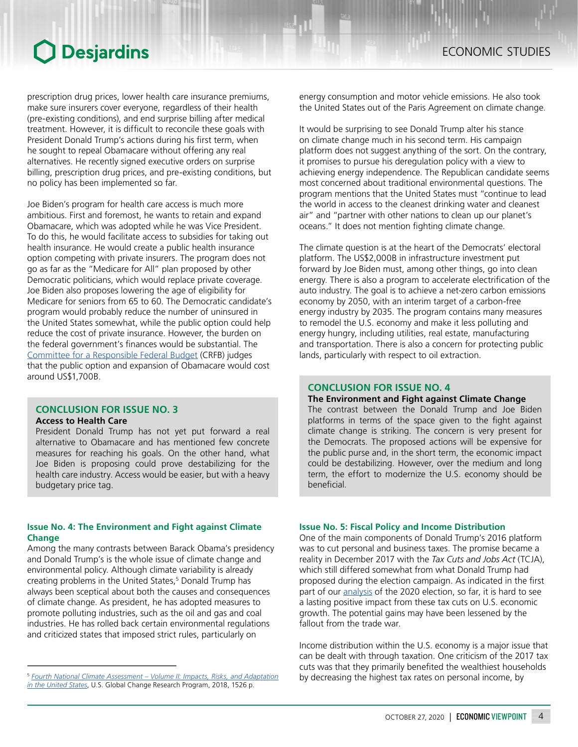prescription drug prices, lower health care insurance premiums, make sure insurers cover everyone, regardless of their health (pre-existing conditions), and end surprise billing after medical treatment. However, it is difficult to reconcile these goals with President Donald Trump's actions during his first term, when he sought to repeal Obamacare without offering any real alternatives. He recently signed executive orders on surprise billing, prescription drug prices, and pre-existing conditions, but no policy has been implemented so far.

Joe Biden's program for health care access is much more ambitious. First and foremost, he wants to retain and expand Obamacare, which was adopted while he was Vice President. To do this, he would facilitate access to subsidies for taking out health insurance. He would create a public health insurance option competing with private insurers. The program does not go as far as the "Medicare for All" plan proposed by other Democratic politicians, which would replace private coverage. Joe Biden also proposes lowering the age of eligibility for Medicare for seniors from 65 to 60. The Democratic candidate's program would probably reduce the number of uninsured in the United States somewhat, while the public option could help reduce the cost of private insurance. However, the burden on the federal government's finances would be substantial. The Committee for a [Responsible](http://www.crfb.org/papers/understanding-joe-bidens-2020-health-care-plan) Federal Budget (CRFB) judges that the public option and expansion of Obamacare would cost around US\$1,700B.

#### **CONCLUSION FOR ISSUE NO. 3 Access to Health Care**

President Donald Trump has not yet put forward a real

alternative to Obamacare and has mentioned few concrete measures for reaching his goals. On the other hand, what Joe Biden is proposing could prove destabilizing for the health care industry. Access would be easier, but with a heavy budgetary price tag.

### **Issue No. 4: The Environment and Fight against Climate Change**

Among the many contrasts between Barack Obama's presidency and Donald Trump's is the whole issue of climate change and environmental policy. Although climate variability is already creating problems in the United States,<sup>5</sup> Donald Trump has always been sceptical about both the causes and consequences of climate change. As president, he has adopted measures to promote polluting industries, such as the oil and gas and coal industries. He has rolled back certain environmental regulations and criticized states that imposed strict rules, particularly on

energy consumption and motor vehicle emissions. He also took the United States out of the Paris Agreement on climate change.

It would be surprising to see Donald Trump alter his stance on climate change much in his second term. His campaign platform does not suggest anything of the sort. On the contrary, it promises to pursue his deregulation policy with a view to achieving energy independence. The Republican candidate seems most concerned about traditional environmental questions. The program mentions that the United States must "continue to lead the world in access to the cleanest drinking water and cleanest air" and "partner with other nations to clean up our planet's oceans." It does not mention fighting climate change.

The climate question is at the heart of the Democrats' electoral platform. The US\$2,000B in infrastructure investment put forward by Joe Biden must, among other things, go into clean energy. There is also a program to accelerate electrification of the auto industry. The goal is to achieve a net-zero carbon emissions economy by 2050, with an interim target of a carbon-free energy industry by 2035. The program contains many measures to remodel the U.S. economy and make it less polluting and energy hungry, including utilities, real estate, manufacturing and transportation. There is also a concern for protecting public lands, particularly with respect to oil extraction.

## **CONCLUSION FOR ISSUE NO. 4**

### **The Environment and Fight against Climate Change**

The contrast between the Donald Trump and Joe Biden platforms in terms of the space given to the fight against climate change is striking. The concern is very present for the Democrats. The proposed actions will be expensive for the public purse and, in the short term, the economic impact could be destabilizing. However, over the medium and long term, the effort to modernize the U.S. economy should be beneficial.

### **Issue No. 5: Fiscal Policy and Income Distribution**

One of the main components of Donald Trump's 2016 platform was to cut personal and business taxes. The promise became a reality in December 2017 with the *Tax Cuts and Jobs Act* (TCJA), which still differed somewhat from what Donald Trump had proposed during the election campaign. As indicated in the first part of our **analysis** of the 2020 election, so far, it is hard to see a lasting positive impact from these tax cuts on U.S. economic growth. The potential gains may have been lessened by the fallout from the trade war.

Income distribution within the U.S. economy is a major issue that can be dealt with through taxation. One criticism of the 2017 tax cuts was that they primarily benefited the wealthiest households by decreasing the highest tax rates on personal income, by

<sup>5</sup> *[Fourth National Climate Assessment](https://nca2018.globalchange.gov/downloads/NCA4_2018_FullReport.pdf) – Volume II: Impacts, Risks, and Adaptation [in the United States](https://nca2018.globalchange.gov/downloads/NCA4_2018_FullReport.pdf)*, U.S. Global Change Research Program, 2018, 1526 p.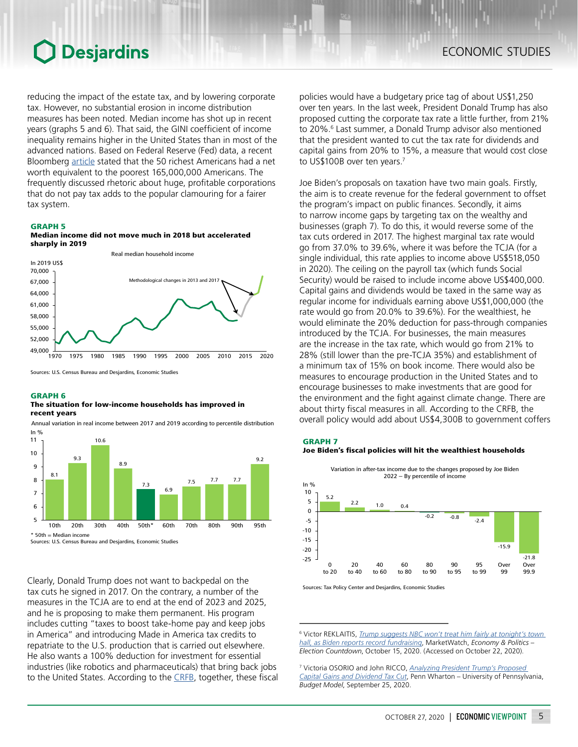reducing the impact of the estate tax, and by lowering corporate tax. However, no substantial erosion in income distribution measures has been noted. Median income has shot up in recent years (graphs 5 and 6). That said, the GINI coefficient of income inequality remains higher in the United States than in most of the advanced nations. Based on Federal Reserve (Fed) data, a recent Bloomberg [article](https://www.bloomberg.com/news/articles/2017-06-23/why-can-t-they-build-more-homes-where-the-jobs-are) stated that the 50 richest Americans had a net worth equivalent to the poorest 165,000,000 Americans. The frequently discussed rhetoric about huge, profitable corporations that do not pay tax adds to the popular clamouring for a fairer tax system.

#### GRAPH 5





Sources: U.S. Census Bureau and Desjardins, Economic Studies

#### GRAPH 6

#### The situation for low-income households has improved in recent years



Annual variation in real income between 2017 and 2019 according to percentile distribution

Clearly, Donald Trump does not want to backpedal on the tax cuts he signed in 2017. On the contrary, a number of the measures in the TCJA are to end at the end of 2023 and 2025, and he is proposing to make them permanent. His program includes cutting "taxes to boost take-home pay and keep jobs in America" and introducing Made in America tax credits to repatriate to the U.S. production that is carried out elsewhere. He also wants a 100% deduction for investment for essential industries (like robotics and pharmaceuticals) that bring back jobs to the United States. According to the [CRFB](http://www.crfb.org/papers/cost-trump-and-biden-campaign-plans), together, these fiscal

policies would have a budgetary price tag of about US\$1,250 over ten years. In the last week, President Donald Trump has also proposed cutting the corporate tax rate a little further, from 21% to 20%.<sup>6</sup> Last summer, a Donald Trump advisor also mentioned that the president wanted to cut the tax rate for dividends and capital gains from 20% to 15%, a measure that would cost close to US\$100B over ten years.<sup>7</sup>

Joe Biden's proposals on taxation have two main goals. Firstly, the aim is to create revenue for the federal government to offset the program's impact on public finances. Secondly, it aims to narrow income gaps by targeting tax on the wealthy and businesses (graph 7). To do this, it would reverse some of the tax cuts ordered in 2017. The highest marginal tax rate would go from 37.0% to 39.6%, where it was before the TCJA (for a single individual, this rate applies to income above US\$518,050 in 2020). The ceiling on the payroll tax (which funds Social Security) would be raised to include income above US\$400,000. Capital gains and dividends would be taxed in the same way as regular income for individuals earning above US\$1,000,000 (the rate would go from 20.0% to 39.6%). For the wealthiest, he would eliminate the 20% deduction for pass-through companies introduced by the TCJA. For businesses, the main measures are the increase in the tax rate, which would go from 21% to 28% (still lower than the pre-TCJA 35%) and establishment of a minimum tax of 15% on book income. There would also be measures to encourage production in the United States and to encourage businesses to make investments that are good for the environment and the fight against climate change. There are about thirty fiscal measures in all. According to the CRFB, the overall policy would add about US\$4,300B to government coffers





Sources: Tax Policy Center and Desjardins, Economic Studies

6 Victor REKLAITIS, *[Trump suggests NBC won't treat him fairly at tonight's town](https://www.marketwatch.com/story/trump-suggests-nbc-wont-treat-him-fairly-at-tonights-town-hall-as-biden-reports-record-fundraising-11602783006)  [hall, as Biden reports record fundraising](https://www.marketwatch.com/story/trump-suggests-nbc-wont-treat-him-fairly-at-tonights-town-hall-as-biden-reports-record-fundraising-11602783006)*, MarketWatch, *Economy & Politics – Election Countdown*, October 15, 2020. (Accessed on October 22, 2020).

7 Victoria OSORIO and John RICCO, *[Analyzing President Trump's Proposed](https://budgetmodel.wharton.upenn.edu/issues/2020/9/25/analyzing-president-trumps-proposed-capital-gains-and-dividend-tax-cut)  [Capital Gains and Dividend Tax Cut](https://budgetmodel.wharton.upenn.edu/issues/2020/9/25/analyzing-president-trumps-proposed-capital-gains-and-dividend-tax-cut)*, Penn Wharton – University of Pennsylvania, *Budget Model*, September 25, 2020.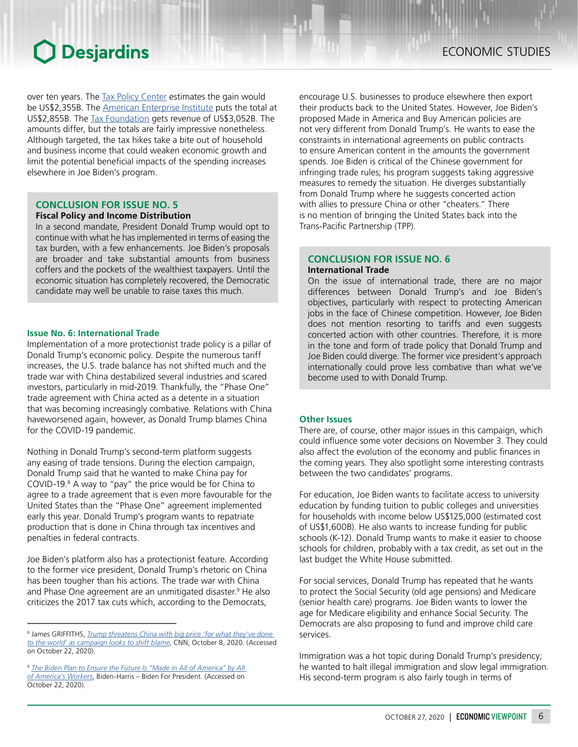over ten years. The Tax Policy [Center](https://www.taxpolicycenter.org/publications/updated-analysis-former-vice-president-bidens-tax-proposals) estimates the gain would be US\$2,355B. The American [Enterprise](https://www.aei.org/wp-content/uploads/2020/10/An-Analysis-of-Joe-Biden%E2%80%99s-Tax-Proposals-October-2020-Update.pdf) Institute puts the total at US\$2,855B. The Tax [Foundation](https://taxfoundation.org/joe-biden-tax-plan-2020/) gets revenue of US\$3,052B. The amounts differ, but the totals are fairly impressive nonetheless. Although targeted, the tax hikes take a bite out of household and business income that could weaken economic growth and limit the potential beneficial impacts of the spending increases elsewhere in Joe Biden's program.

### **CONCLUSION FOR ISSUE NO. 5**

#### **Fiscal Policy and Income Distribution**

In a second mandate, President Donald Trump would opt to continue with what he has implemented in terms of easing the tax burden, with a few enhancements. Joe Biden's proposals are broader and take substantial amounts from business coffers and the pockets of the wealthiest taxpayers. Until the economic situation has completely recovered, the Democratic candidate may well be unable to raise taxes this much.

### **Issue No. 6: International Trade**

Implementation of a more protectionist trade policy is a pillar of Donald Trump's economic policy. Despite the numerous tariff increases, the U.S. trade balance has not shifted much and the trade war with China destabilized several industries and scared investors, particularly in mid-2019. Thankfully, the "Phase One" trade agreement with China acted as a detente in a situation that was becoming increasingly combative. Relations with China haveworsened again, however, as Donald Trump blames China for the COVID-19 pandemic.

Nothing in Donald Trump's second-term platform suggests any easing of trade tensions. During the election campaign, Donald Trump said that he wanted to make China pay for COVID-19.8 A way to "pay" the price would be for China to agree to a trade agreement that is even more favourable for the United States than the "Phase One" agreement implemented early this year. Donald Trump's program wants to repatriate production that is done in China through tax incentives and penalties in federal contracts.

Joe Biden's platform also has a protectionist feature. According to the former vice president, Donald Trump's rhetoric on China has been tougher than his actions. The trade war with China and Phase One agreement are an unmitigated disaster.<sup>9</sup> He also criticizes the 2017 tax cuts which, according to the Democrats,

encourage U.S. businesses to produce elsewhere then export their products back to the United States. However, Joe Biden's proposed Made in America and Buy American policies are not very different from Donald Trump's. He wants to ease the constraints in international agreements on public contracts to ensure American content in the amounts the government spends. Joe Biden is critical of the Chinese government for infringing trade rules; his program suggests taking aggressive measures to remedy the situation. He diverges substantially from Donald Trump where he suggests concerted action with allies to pressure China or other "cheaters." There is no mention of bringing the United States back into the Trans‑Pacific Partnership (TPP).

## **CONCLUSION FOR ISSUE NO. 6 International Trade**

On the issue of international trade, there are no major differences between Donald Trump's and Joe Biden's objectives, particularly with respect to protecting American jobs in the face of Chinese competition. However, Joe Biden does not mention resorting to tariffs and even suggests concerted action with other countries. Therefore, it is more in the tone and form of trade policy that Donald Trump and Joe Biden could diverge. The former vice president's approach internationally could prove less combative than what we've become used to with Donald Trump.

#### **Other Issues**

There are, of course, other major issues in this campaign, which could influence some voter decisions on November 3. They could also affect the evolution of the economy and public finances in the coming years. They also spotlight some interesting contrasts between the two candidates' programs.

For education, Joe Biden wants to facilitate access to university education by funding tuition to public colleges and universities for households with income below US\$125,000 (estimated cost of US\$1,600B). He also wants to increase funding for public schools (K‑12). Donald Trump wants to make it easier to choose schools for children, probably with a tax credit, as set out in the last budget the White House submitted.

For social services, Donald Trump has repeated that he wants to protect the Social Security (old age pensions) and Medicare (senior health care) programs. Joe Biden wants to lower the age for Medicare eligibility and enhance Social Security. The Democrats are also proposing to fund and improve child care services.

Immigration was a hot topic during Donald Trump's presidency; he wanted to halt illegal immigration and slow legal immigration. His second-term program is also fairly tough in terms of

<sup>8</sup> James GRIFFITHS, *[Trump threatens China with big price 'for what they've done](https://www.cnn.com/2020/10/08/asia/trump-pence-china-debate-covid-intl-hnk/index.html)  [to the world' as campaign looks to shift blame](https://www.cnn.com/2020/10/08/asia/trump-pence-china-debate-covid-intl-hnk/index.html)*, CNN, October 8, 2020. (Accessed on October 22, 2020).

<sup>9</sup> *[The Biden Plan to Ensure the Future Is "Made in All of America" by All](https://joebiden.com/made-in-america/)  [of America's Workers](https://joebiden.com/made-in-america/)*, Biden-Harris – Biden For President. (Accessed on October 22, 2020).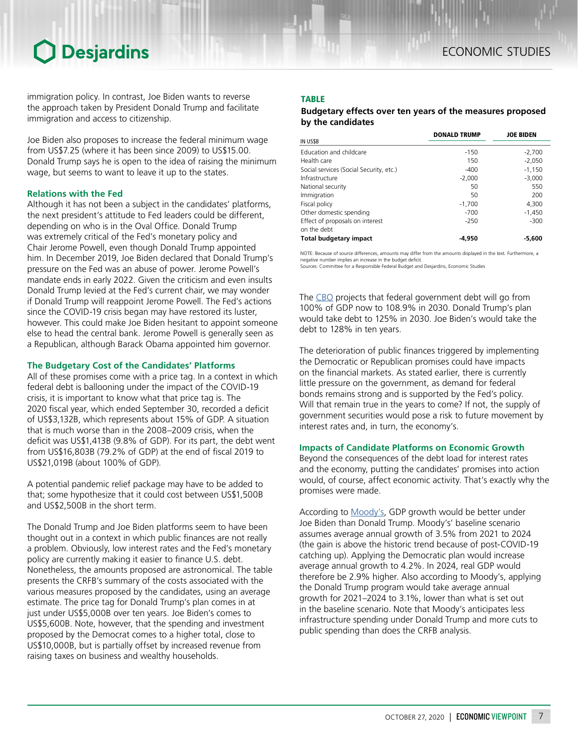immigration policy. In contrast, Joe Biden wants to reverse the approach taken by President Donald Trump and facilitate immigration and access to citizenship.

Joe Biden also proposes to increase the federal minimum wage from US\$7.25 (where it has been since 2009) to US\$15.00. Donald Trump says he is open to the idea of raising the minimum wage, but seems to want to leave it up to the states.

### **Relations with the Fed**

Although it has not been a subject in the candidates' platforms, the next president's attitude to Fed leaders could be different, depending on who is in the Oval Office. Donald Trump was extremely critical of the Fed's monetary policy and Chair Jerome Powell, even though Donald Trump appointed him. In December 2019, Joe Biden declared that Donald Trump's pressure on the Fed was an abuse of power. Jerome Powell's mandate ends in early 2022. Given the criticism and even insults Donald Trump levied at the Fed's current chair, we may wonder if Donald Trump will reappoint Jerome Powell. The Fed's actions since the COVID-19 crisis began may have restored its luster, however. This could make Joe Biden hesitant to appoint someone else to head the central bank. Jerome Powell is generally seen as a Republican, although Barack Obama appointed him governor.

#### **The Budgetary Cost of the Candidates' Platforms**

All of these promises come with a price tag. In a context in which federal debt is ballooning under the impact of the COVID-19 crisis, it is important to know what that price tag is. The 2020 fiscal year, which ended September 30, recorded a deficit of US\$3,132B, which represents about 15% of GDP. A situation that is much worse than in the 2008–2009 crisis, when the deficit was US\$1,413B (9.8% of GDP). For its part, the debt went from US\$16,803B (79.2% of GDP) at the end of fiscal 2019 to US\$21,019B (about 100% of GDP).

A potential pandemic relief package may have to be added to that; some hypothesize that it could cost between US\$1,500B and US\$2,500B in the short term.

The Donald Trump and Joe Biden platforms seem to have been thought out in a context in which public finances are not really a problem. Obviously, low interest rates and the Fed's monetary policy are currently making it easier to finance U.S. debt. Nonetheless, the amounts proposed are astronomical. The table presents the CRFB's summary of the costs associated with the various measures proposed by the candidates, using an average estimate. The price tag for Donald Trump's plan comes in at just under US\$5,000B over ten years. Joe Biden's comes to US\$5,600B. Note, however, that the spending and investment proposed by the Democrat comes to a higher total, close to US\$10,000B, but is partially offset by increased revenue from raising taxes on business and wealthy households.

### TABLE

### *Budgetary effects over ten years of the measures proposed by the candidates*

|                                         | <b>DONALD TRUMP</b> | <b>JOE BIDEN</b> |
|-----------------------------------------|---------------------|------------------|
| IN US\$B                                |                     |                  |
| Education and childcare                 | $-150$              | $-2,700$         |
| Health care                             | 150                 | $-2.050$         |
| Social services (Social Security, etc.) | $-400$              | $-1,150$         |
| Infrastructure                          | $-2,000$            | $-3.000$         |
| National security                       | 50                  | 550              |
| Immigration                             | 50                  | 200              |
| Fiscal policy                           | $-1,700$            | 4.300            |
| Other domestic spending                 | $-700$              | $-1,450$         |
| Effect of proposals on interest         | $-250$              | $-300$           |
| on the debt                             |                     |                  |
| <b>Total budgetary impact</b>           | -4.950              | $-5.600$         |

NOTE: Because of source differences, amounts may differ from the amounts displayed in the text. Furthermore, a negative number implies an increase in the budget deficit. Sources: Committee for a Responsible Federal Budget and Desjardins, Economic Studies

The [CBO](https://www.cbo.gov/system/files/2020-09/56517-Budget-Outlook.pdf) projects that federal government debt will go from 100% of GDP now to 108.9% in 2030. Donald Trump's plan would take debt to 125% in 2030. Joe Biden's would take the debt to 128% in ten years.

The deterioration of public finances triggered by implementing the Democratic or Republican promises could have impacts on the financial markets. As stated earlier, there is currently little pressure on the government, as demand for federal bonds remains strong and is supported by the Fed's policy. Will that remain true in the years to come? If not, the supply of government securities would pose a risk to future movement by interest rates and, in turn, the economy's.

### **Impacts of Candidate Platforms on Economic Growth**

Beyond the consequences of the debt load for interest rates and the economy, putting the candidates' promises into action would, of course, affect economic activity. That's exactly why the promises were made.

According to [Moody's,](https://www.moodysanalytics.com/-/media/article/2020/the-macroeconomic-consequences-trump-vs-biden.pdf) GDP growth would be better under Joe Biden than Donald Trump. Moody's' baseline scenario assumes average annual growth of 3.5% from 2021 to 2024 (the gain is above the historic trend because of post-COVID-19 catching up). Applying the Democratic plan would increase average annual growth to 4.2%. In 2024, real GDP would therefore be 2.9% higher. Also according to Moody's, applying the Donald Trump program would take average annual growth for 2021–2024 to 3.1%, lower than what is set out in the baseline scenario. Note that Moody's anticipates less infrastructure spending under Donald Trump and more cuts to public spending than does the CRFB analysis.